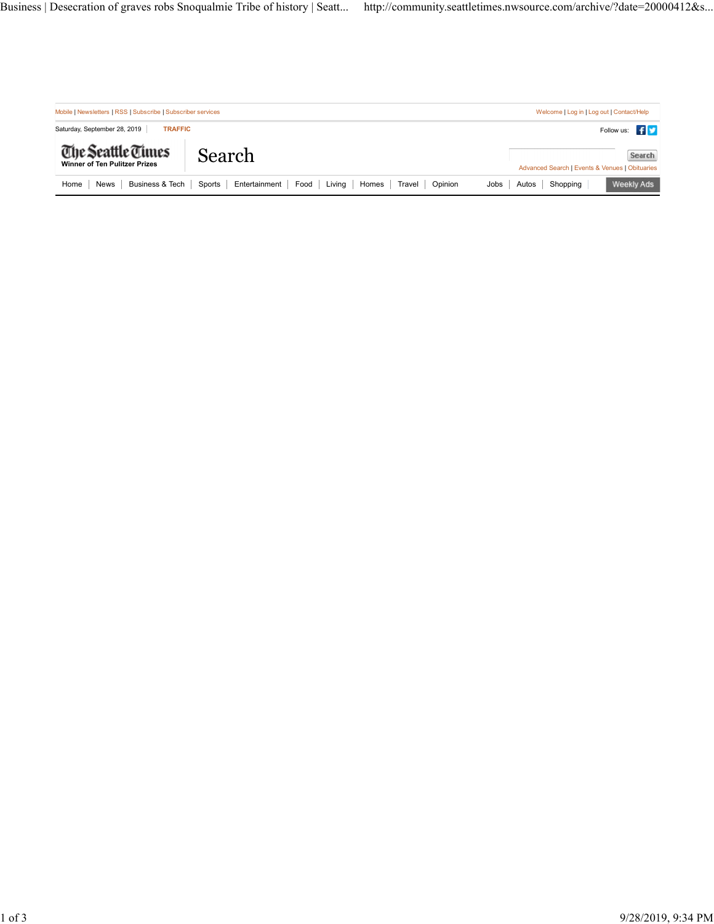